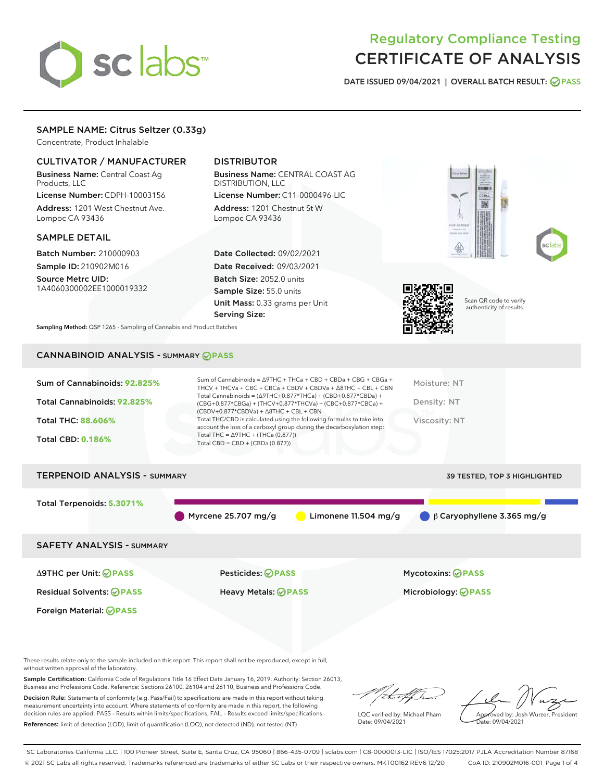# sclabs

# Regulatory Compliance Testing CERTIFICATE OF ANALYSIS

DATE ISSUED 09/04/2021 | OVERALL BATCH RESULT: @ PASS

## SAMPLE NAME: Citrus Seltzer (0.33g)

Concentrate, Product Inhalable

### CULTIVATOR / MANUFACTURER

Business Name: Central Coast Ag Products, LLC License Number: CDPH-10003156

Address: 1201 West Chestnut Ave. Lompoc CA 93436

#### SAMPLE DETAIL

Batch Number: 210000903 Sample ID: 210902M016

Source Metrc UID: 1A4060300002EE1000019332

## DISTRIBUTOR

Business Name: CENTRAL COAST AG DISTRIBUTION, LLC License Number: C11-0000496-LIC

Address: 1201 Chestnut St W Lompoc CA 93436

Date Collected: 09/02/2021 Date Received: 09/03/2021 Batch Size: 2052.0 units Sample Size: 55.0 units Unit Mass: 0.33 grams per Unit Serving Size:





Scan QR code to verify authenticity of results.

Sampling Method: QSP 1265 - Sampling of Cannabis and Product Batches

# CANNABINOID ANALYSIS - SUMMARY **PASS**

| Total Cannabinoids = $(\Delta$ 9THC+0.877*THCa) + (CBD+0.877*CBDa) +<br>Total Cannabinoids: 92.825%<br>Density: NT<br>(CBG+0.877*CBGa) + (THCV+0.877*THCVa) + (CBC+0.877*CBCa) +<br>$(CBDV+0.877*CBDVa) + \Delta 8THC + CBL + CBN$<br>Total THC/CBD is calculated using the following formulas to take into<br><b>Total THC: 88.606%</b><br>Viscosity: NT<br>account the loss of a carboxyl group during the decarboxylation step:<br>Total THC = $\triangle$ 9THC + (THCa (0.877))<br><b>Total CBD: 0.186%</b><br>Total CBD = $CBD + (CBDa (0.877))$ | Sum of Cannabinoids: 92.825% | Sum of Cannabinoids = $\triangle$ 9THC + THCa + CBD + CBDa + CBG + CBGa +<br>THCV + THCVa + CBC + CBCa + CBDV + CBDVa + $\Delta$ 8THC + CBL + CBN | Moisture: NT |
|-------------------------------------------------------------------------------------------------------------------------------------------------------------------------------------------------------------------------------------------------------------------------------------------------------------------------------------------------------------------------------------------------------------------------------------------------------------------------------------------------------------------------------------------------------|------------------------------|---------------------------------------------------------------------------------------------------------------------------------------------------|--------------|
|                                                                                                                                                                                                                                                                                                                                                                                                                                                                                                                                                       |                              |                                                                                                                                                   |              |
|                                                                                                                                                                                                                                                                                                                                                                                                                                                                                                                                                       |                              |                                                                                                                                                   |              |
|                                                                                                                                                                                                                                                                                                                                                                                                                                                                                                                                                       |                              |                                                                                                                                                   |              |

# TERPENOID ANALYSIS - SUMMARY 39 TESTED, TOP 3 HIGHLIGHTED Total Terpenoids: **5.3071%** Myrcene 25.707 mg/g Limonene 11.504 mg/g β Caryophyllene 3.365 mg/g SAFETY ANALYSIS - SUMMARY Δ9THC per Unit: **PASS** Pesticides: **PASS** Mycotoxins: **PASS**

Residual Solvents: **PASS** Heavy Metals: **PASS** Microbiology: **PASS**

Foreign Material: **PASS**

These results relate only to the sample included on this report. This report shall not be reproduced, except in full, without written approval of the laboratory.

Sample Certification: California Code of Regulations Title 16 Effect Date January 16, 2019. Authority: Section 26013, Business and Professions Code. Reference: Sections 26100, 26104 and 26110, Business and Professions Code.

Decision Rule: Statements of conformity (e.g. Pass/Fail) to specifications are made in this report without taking measurement uncertainty into account. Where statements of conformity are made in this report, the following decision rules are applied: PASS – Results within limits/specifications, FAIL – Results exceed limits/specifications. References: limit of detection (LOD), limit of quantification (LOQ), not detected (ND), not tested (NT)

LQC verified by: Michael Pham Date: 09/04/2021

Approved by: Josh Wurzer, President ate: 09/04/2021

SC Laboratories California LLC. | 100 Pioneer Street, Suite E, Santa Cruz, CA 95060 | 866-435-0709 | sclabs.com | C8-0000013-LIC | ISO/IES 17025:2017 PJLA Accreditation Number 87168 © 2021 SC Labs all rights reserved. Trademarks referenced are trademarks of either SC Labs or their respective owners. MKT00162 REV6 12/20 CoA ID: 210902M016-001 Page 1 of 4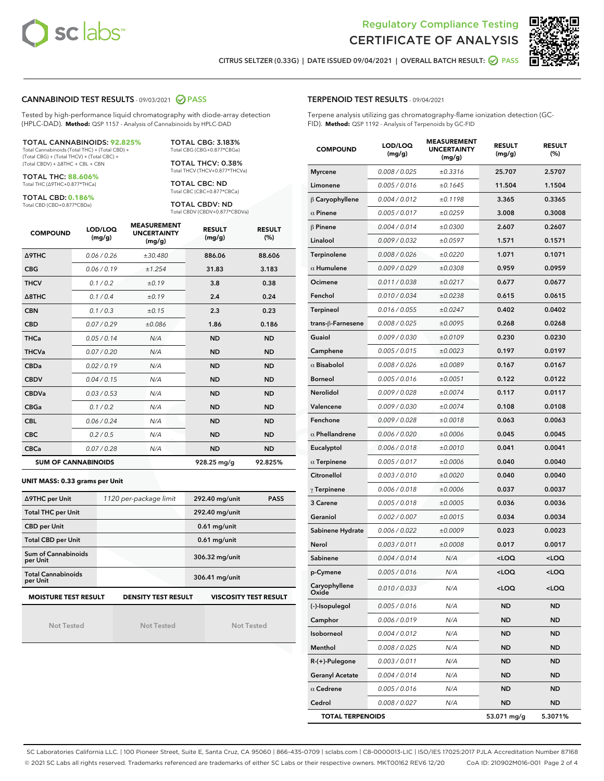



CITRUS SELTZER (0.33G) | DATE ISSUED 09/04/2021 | OVERALL BATCH RESULT: O PASS

#### CANNABINOID TEST RESULTS - 09/03/2021 2 PASS

Tested by high-performance liquid chromatography with diode-array detection (HPLC-DAD). **Method:** QSP 1157 - Analysis of Cannabinoids by HPLC-DAD

#### TOTAL CANNABINOIDS: **92.825%**

Total Cannabinoids (Total THC) + (Total CBD) + (Total CBG) + (Total THCV) + (Total CBC) + (Total CBDV) + ∆8THC + CBL + CBN

TOTAL THC: **88.606%** Total THC (∆9THC+0.877\*THCa)

TOTAL CBD: **0.186%**

Total CBD (CBD+0.877\*CBDa)

TOTAL CBG: 3.183% Total CBG (CBG+0.877\*CBGa)

TOTAL THCV: 0.38% Total THCV (THCV+0.877\*THCVa)

TOTAL CBC: ND Total CBC (CBC+0.877\*CBCa)

TOTAL CBDV: ND Total CBDV (CBDV+0.877\*CBDVa)

| <b>COMPOUND</b>  | LOD/LOQ<br>(mg/g)          | <b>MEASUREMENT</b><br><b>UNCERTAINTY</b><br>(mg/g) | <b>RESULT</b><br>(mg/g) | <b>RESULT</b><br>(%) |
|------------------|----------------------------|----------------------------------------------------|-------------------------|----------------------|
| <b>A9THC</b>     | 0.06 / 0.26                | ±30.480                                            | 886.06                  | 88.606               |
| <b>CBG</b>       | 0.06/0.19                  | ±1.254                                             | 31.83                   | 3.183                |
| <b>THCV</b>      | 0.1 / 0.2                  | ±0.19                                              | 3.8                     | 0.38                 |
| $\triangle$ 8THC | 0.1/0.4                    | ±0.19                                              | 2.4                     | 0.24                 |
| <b>CBN</b>       | 0.1/0.3                    | ±0.15                                              | 2.3                     | 0.23                 |
| <b>CBD</b>       | 0.07/0.29                  | ±0.086                                             | 1.86                    | 0.186                |
| <b>THCa</b>      | 0.05/0.14                  | N/A                                                | <b>ND</b>               | <b>ND</b>            |
| <b>THCVa</b>     | 0.07/0.20                  | N/A                                                | <b>ND</b>               | <b>ND</b>            |
| <b>CBDa</b>      | 0.02/0.19                  | N/A                                                | <b>ND</b>               | <b>ND</b>            |
| <b>CBDV</b>      | 0.04 / 0.15                | N/A                                                | <b>ND</b>               | <b>ND</b>            |
| <b>CBDVa</b>     | 0.03/0.53                  | N/A                                                | <b>ND</b>               | <b>ND</b>            |
| <b>CBGa</b>      | 0.1 / 0.2                  | N/A                                                | <b>ND</b>               | <b>ND</b>            |
| <b>CBL</b>       | 0.06 / 0.24                | N/A                                                | <b>ND</b>               | <b>ND</b>            |
| <b>CBC</b>       | 0.2 / 0.5                  | N/A                                                | <b>ND</b>               | <b>ND</b>            |
| <b>CBCa</b>      | 0.07/0.28                  | N/A                                                | <b>ND</b>               | <b>ND</b>            |
|                  | <b>SUM OF CANNABINOIDS</b> |                                                    | 928.25 mg/g             | 92.825%              |

#### **UNIT MASS: 0.33 grams per Unit**

| ∆9THC per Unit                        | 1120 per-package limit     | 292.40 mg/unit<br><b>PASS</b> |
|---------------------------------------|----------------------------|-------------------------------|
| <b>Total THC per Unit</b>             |                            | 292.40 mg/unit                |
| <b>CBD per Unit</b>                   |                            | $0.61$ mg/unit                |
| <b>Total CBD per Unit</b>             |                            | $0.61$ mg/unit                |
| Sum of Cannabinoids<br>per Unit       |                            | 306.32 mg/unit                |
| <b>Total Cannabinoids</b><br>per Unit |                            | 306.41 mg/unit                |
| <b>MOISTURE TEST RESULT</b>           | <b>DENSITY TEST RESULT</b> | <b>VISCOSITY TEST RESULT</b>  |

Not Tested

Not Tested

Not Tested

#### TERPENOID TEST RESULTS - 09/04/2021

Terpene analysis utilizing gas chromatography-flame ionization detection (GC-FID). **Method:** QSP 1192 - Analysis of Terpenoids by GC-FID

| <b>COMPOUND</b>         | LOD/LOQ<br>(mg/g) | <b>MEASUREMENT</b><br><b>UNCERTAINTY</b><br>(mg/g) | <b>RESULT</b><br>(mg/g)                          | <b>RESULT</b><br>(%) |
|-------------------------|-------------------|----------------------------------------------------|--------------------------------------------------|----------------------|
| <b>Myrcene</b>          | 0.008 / 0.025     | ±0.3316                                            | 25.707                                           | 2.5707               |
| Limonene                | 0.005 / 0.016     | ±0.1645                                            | 11.504                                           | 1.1504               |
| $\beta$ Caryophyllene   | 0.004 / 0.012     | ±0.1198                                            | 3.365                                            | 0.3365               |
| $\alpha$ Pinene         | 0.005 / 0.017     | ±0.0259                                            | 3.008                                            | 0.3008               |
| $\beta$ Pinene          | 0.004 / 0.014     | ±0.0300                                            | 2.607                                            | 0.2607               |
| Linalool                | 0.009 / 0.032     | ±0.0597                                            | 1.571                                            | 0.1571               |
| Terpinolene             | 0.008 / 0.026     | ±0.0220                                            | 1.071                                            | 0.1071               |
| $\alpha$ Humulene       | 0.009 / 0.029     | ±0.0308                                            | 0.959                                            | 0.0959               |
| Ocimene                 | 0.011 / 0.038     | ±0.0217                                            | 0.677                                            | 0.0677               |
| Fenchol                 | 0.010 / 0.034     | ±0.0238                                            | 0.615                                            | 0.0615               |
| <b>Terpineol</b>        | 0.016 / 0.055     | ±0.0247                                            | 0.402                                            | 0.0402               |
| trans-ß-Farnesene       | 0.008 / 0.025     | ±0.0095                                            | 0.268                                            | 0.0268               |
| Guaiol                  | 0.009 / 0.030     | ±0.0109                                            | 0.230                                            | 0.0230               |
| Camphene                | 0.005 / 0.015     | ±0.0023                                            | 0.197                                            | 0.0197               |
| $\alpha$ Bisabolol      | 0.008 / 0.026     | ±0.0089                                            | 0.167                                            | 0.0167               |
| <b>Borneol</b>          | 0.005 / 0.016     | ±0.0051                                            | 0.122                                            | 0.0122               |
| <b>Nerolidol</b>        | 0.009 / 0.028     | ±0.0074                                            | 0.117                                            | 0.0117               |
| Valencene               | 0.009 / 0.030     | ±0.0074                                            | 0.108                                            | 0.0108               |
| Fenchone                | 0.009 / 0.028     | ±0.0018                                            | 0.063                                            | 0.0063               |
| $\alpha$ Phellandrene   | 0.006 / 0.020     | ±0.0006                                            | 0.045                                            | 0.0045               |
| Eucalyptol              | 0.006 / 0.018     | ±0.0010                                            | 0.041                                            | 0.0041               |
| $\alpha$ Terpinene      | 0.005 / 0.017     | ±0.0006                                            | 0.040                                            | 0.0040               |
| Citronellol             | 0.003 / 0.010     | ±0.0020                                            | 0.040                                            | 0.0040               |
| $\gamma$ Terpinene      | 0.006 / 0.018     | ±0.0006                                            | 0.037                                            | 0.0037               |
| 3 Carene                | 0.005 / 0.018     | ±0.0005                                            | 0.036                                            | 0.0036               |
| Geraniol                | 0.002 / 0.007     | ±0.0015                                            | 0.034                                            | 0.0034               |
| Sabinene Hydrate        | 0.006 / 0.022     | ±0.0009                                            | 0.023                                            | 0.0023               |
| Nerol                   | 0.003 / 0.011     | ±0.0008                                            | 0.017                                            | 0.0017               |
| Sabinene                | 0.004 / 0.014     | N/A                                                | <loq< th=""><th><loq< th=""></loq<></th></loq<>  | <loq< th=""></loq<>  |
| p-Cymene                | 0.005 / 0.016     | N/A                                                | <loq< th=""><th><math>&lt;</math>LOQ</th></loq<> | $<$ LOQ              |
| Caryophyllene<br>Oxide  | 0.010 / 0.033     | N/A                                                | <loq< th=""><th><loq< th=""></loq<></th></loq<>  | <loq< th=""></loq<>  |
| (-)-Isopulegol          | 0.005 / 0.016     | N/A                                                | ND                                               | ND                   |
| Camphor                 | 0.006 / 0.019     | N/A                                                | ND                                               | <b>ND</b>            |
| Isoborneol              | 0.004 / 0.012     | N/A                                                | ND                                               | <b>ND</b>            |
| Menthol                 | 0.008 / 0.025     | N/A                                                | ND                                               | <b>ND</b>            |
| R-(+)-Pulegone          | 0.003 / 0.011     | N/A                                                | ND                                               | <b>ND</b>            |
| <b>Geranyl Acetate</b>  | 0.004 / 0.014     | N/A                                                | ND                                               | <b>ND</b>            |
| $\alpha$ Cedrene        | 0.005 / 0.016     | N/A                                                | ND                                               | <b>ND</b>            |
| Cedrol                  | 0.008 / 0.027     | N/A                                                | ND                                               | <b>ND</b>            |
| <b>TOTAL TERPENOIDS</b> |                   |                                                    | 53.071 mg/g                                      | 5.3071%              |

SC Laboratories California LLC. | 100 Pioneer Street, Suite E, Santa Cruz, CA 95060 | 866-435-0709 | sclabs.com | C8-0000013-LIC | ISO/IES 17025:2017 PJLA Accreditation Number 87168 © 2021 SC Labs all rights reserved. Trademarks referenced are trademarks of either SC Labs or their respective owners. MKT00162 REV6 12/20 CoA ID: 210902M016-001 Page 2 of 4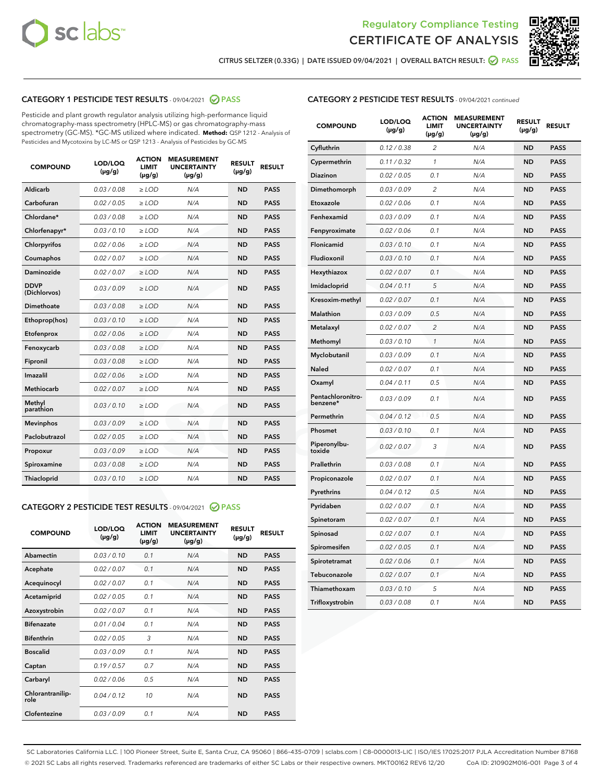



CITRUS SELTZER (0.33G) | DATE ISSUED 09/04/2021 | OVERALL BATCH RESULT: @ PASS

#### CATEGORY 1 PESTICIDE TEST RESULTS - 09/04/2021 @ PASS

Pesticide and plant growth regulator analysis utilizing high-performance liquid chromatography-mass spectrometry (HPLC-MS) or gas chromatography-mass spectrometry (GC-MS). \*GC-MS utilized where indicated. **Method:** QSP 1212 - Analysis of Pesticides and Mycotoxins by LC-MS or QSP 1213 - Analysis of Pesticides by GC-MS

| <b>COMPOUND</b>             | LOD/LOQ<br>$(\mu g/g)$ | <b>ACTION</b><br><b>LIMIT</b><br>$(\mu g/g)$ | <b>MEASUREMENT</b><br><b>UNCERTAINTY</b><br>$(\mu g/g)$ | <b>RESULT</b><br>$(\mu g/g)$ | <b>RESULT</b> |
|-----------------------------|------------------------|----------------------------------------------|---------------------------------------------------------|------------------------------|---------------|
| Aldicarb                    | 0.03 / 0.08            | $\geq$ LOD                                   | N/A                                                     | <b>ND</b>                    | <b>PASS</b>   |
| Carbofuran                  | 0.02/0.05              | $>$ LOD                                      | N/A                                                     | <b>ND</b>                    | <b>PASS</b>   |
| Chlordane*                  | 0.03 / 0.08            | $\ge$ LOD                                    | N/A                                                     | <b>ND</b>                    | <b>PASS</b>   |
| Chlorfenapyr*               | 0.03/0.10              | $>$ LOD                                      | N/A                                                     | <b>ND</b>                    | <b>PASS</b>   |
| Chlorpyrifos                | 0.02 / 0.06            | $\ge$ LOD                                    | N/A                                                     | <b>ND</b>                    | <b>PASS</b>   |
| Coumaphos                   | 0.02 / 0.07            | $\ge$ LOD                                    | N/A                                                     | <b>ND</b>                    | <b>PASS</b>   |
| Daminozide                  | 0.02 / 0.07            | $\ge$ LOD                                    | N/A                                                     | <b>ND</b>                    | <b>PASS</b>   |
| <b>DDVP</b><br>(Dichlorvos) | 0.03/0.09              | $\ge$ LOD                                    | N/A                                                     | <b>ND</b>                    | <b>PASS</b>   |
| Dimethoate                  | 0.03/0.08              | $>$ LOD                                      | N/A                                                     | <b>ND</b>                    | <b>PASS</b>   |
| Ethoprop(hos)               | 0.03/0.10              | $\ge$ LOD                                    | N/A                                                     | <b>ND</b>                    | <b>PASS</b>   |
| Etofenprox                  | 0.02 / 0.06            | $\ge$ LOD                                    | N/A                                                     | <b>ND</b>                    | <b>PASS</b>   |
| Fenoxycarb                  | 0.03 / 0.08            | $\ge$ LOD                                    | N/A                                                     | <b>ND</b>                    | <b>PASS</b>   |
| Fipronil                    | 0.03/0.08              | $>$ LOD                                      | N/A                                                     | <b>ND</b>                    | <b>PASS</b>   |
| Imazalil                    | 0.02 / 0.06            | $\ge$ LOD                                    | N/A                                                     | <b>ND</b>                    | <b>PASS</b>   |
| <b>Methiocarb</b>           | 0.02 / 0.07            | $\ge$ LOD                                    | N/A                                                     | <b>ND</b>                    | <b>PASS</b>   |
| Methyl<br>parathion         | 0.03/0.10              | $\ge$ LOD                                    | N/A                                                     | <b>ND</b>                    | <b>PASS</b>   |
| <b>Mevinphos</b>            | 0.03/0.09              | $>$ LOD                                      | N/A                                                     | <b>ND</b>                    | <b>PASS</b>   |
| Paclobutrazol               | 0.02 / 0.05            | $\ge$ LOD                                    | N/A                                                     | <b>ND</b>                    | <b>PASS</b>   |
| Propoxur                    | 0.03/0.09              | $\ge$ LOD                                    | N/A                                                     | <b>ND</b>                    | <b>PASS</b>   |
| Spiroxamine                 | 0.03 / 0.08            | $\ge$ LOD                                    | N/A                                                     | <b>ND</b>                    | <b>PASS</b>   |
| Thiacloprid                 | 0.03/0.10              | $\ge$ LOD                                    | N/A                                                     | <b>ND</b>                    | <b>PASS</b>   |

#### CATEGORY 2 PESTICIDE TEST RESULTS - 09/04/2021 @ PASS

| <b>COMPOUND</b>          | LOD/LOQ<br>$(\mu g/g)$ | <b>ACTION</b><br><b>LIMIT</b><br>$(\mu g/g)$ | <b>MEASUREMENT</b><br><b>UNCERTAINTY</b><br>$(\mu g/g)$ | <b>RESULT</b><br>$(\mu g/g)$ | <b>RESULT</b> |
|--------------------------|------------------------|----------------------------------------------|---------------------------------------------------------|------------------------------|---------------|
| Abamectin                | 0.03/0.10              | 0.1                                          | N/A                                                     | <b>ND</b>                    | <b>PASS</b>   |
| Acephate                 | 0.02/0.07              | 0.1                                          | N/A                                                     | <b>ND</b>                    | <b>PASS</b>   |
| Acequinocyl              | 0.02/0.07              | 0.1                                          | N/A                                                     | <b>ND</b>                    | <b>PASS</b>   |
| Acetamiprid              | 0.02/0.05              | 0.1                                          | N/A                                                     | <b>ND</b>                    | <b>PASS</b>   |
| Azoxystrobin             | 0.02/0.07              | 0.1                                          | N/A                                                     | <b>ND</b>                    | <b>PASS</b>   |
| <b>Bifenazate</b>        | 0.01/0.04              | 0.1                                          | N/A                                                     | <b>ND</b>                    | <b>PASS</b>   |
| <b>Bifenthrin</b>        | 0.02 / 0.05            | 3                                            | N/A                                                     | <b>ND</b>                    | <b>PASS</b>   |
| <b>Boscalid</b>          | 0.03/0.09              | 0.1                                          | N/A                                                     | <b>ND</b>                    | <b>PASS</b>   |
| Captan                   | 0.19/0.57              | 0.7                                          | N/A                                                     | <b>ND</b>                    | <b>PASS</b>   |
| Carbaryl                 | 0.02/0.06              | 0.5                                          | N/A                                                     | <b>ND</b>                    | <b>PASS</b>   |
| Chlorantranilip-<br>role | 0.04/0.12              | 10                                           | N/A                                                     | <b>ND</b>                    | <b>PASS</b>   |
| Clofentezine             | 0.03/0.09              | 0.1                                          | N/A                                                     | <b>ND</b>                    | <b>PASS</b>   |

#### CATEGORY 2 PESTICIDE TEST RESULTS - 09/04/2021 continued

| <b>COMPOUND</b>               | LOD/LOQ<br>(µg/g) | <b>ACTION</b><br>LIMIT<br>$(\mu g/g)$ | <b>MEASUREMENT</b><br><b>UNCERTAINTY</b><br>$(\mu g/g)$ | <b>RESULT</b><br>(µg/g) | <b>RESULT</b> |
|-------------------------------|-------------------|---------------------------------------|---------------------------------------------------------|-------------------------|---------------|
| Cyfluthrin                    | 0.12 / 0.38       | $\overline{c}$                        | N/A                                                     | ND                      | <b>PASS</b>   |
| Cypermethrin                  | 0.11 / 0.32       | $\mathcal{I}$                         | N/A                                                     | ND                      | <b>PASS</b>   |
| <b>Diazinon</b>               | 0.02 / 0.05       | 0.1                                   | N/A                                                     | <b>ND</b>               | <b>PASS</b>   |
| Dimethomorph                  | 0.03 / 0.09       | $\overline{2}$                        | N/A                                                     | ND                      | <b>PASS</b>   |
| Etoxazole                     | 0.02 / 0.06       | 0.1                                   | N/A                                                     | ND                      | <b>PASS</b>   |
| Fenhexamid                    | 0.03 / 0.09       | 0.1                                   | N/A                                                     | <b>ND</b>               | <b>PASS</b>   |
| Fenpyroximate                 | 0.02 / 0.06       | 0.1                                   | N/A                                                     | <b>ND</b>               | <b>PASS</b>   |
| Flonicamid                    | 0.03 / 0.10       | 0.1                                   | N/A                                                     | ND                      | <b>PASS</b>   |
| Fludioxonil                   | 0.03 / 0.10       | 0.1                                   | N/A                                                     | ND                      | <b>PASS</b>   |
| Hexythiazox                   | 0.02 / 0.07       | 0.1                                   | N/A                                                     | ND                      | <b>PASS</b>   |
| Imidacloprid                  | 0.04 / 0.11       | 5                                     | N/A                                                     | ND                      | <b>PASS</b>   |
| Kresoxim-methyl               | 0.02 / 0.07       | 0.1                                   | N/A                                                     | ND                      | <b>PASS</b>   |
| <b>Malathion</b>              | 0.03 / 0.09       | 0.5                                   | N/A                                                     | <b>ND</b>               | <b>PASS</b>   |
| Metalaxyl                     | 0.02 / 0.07       | $\overline{c}$                        | N/A                                                     | ND                      | <b>PASS</b>   |
| Methomyl                      | 0.03 / 0.10       | 1                                     | N/A                                                     | <b>ND</b>               | <b>PASS</b>   |
| Myclobutanil                  | 0.03 / 0.09       | 0.1                                   | N/A                                                     | ND                      | <b>PASS</b>   |
| Naled                         | 0.02 / 0.07       | 0.1                                   | N/A                                                     | ND                      | <b>PASS</b>   |
| Oxamyl                        | 0.04 / 0.11       | 0.5                                   | N/A                                                     | ND                      | <b>PASS</b>   |
| Pentachloronitro-<br>benzene* | 0.03 / 0.09       | 0.1                                   | N/A                                                     | ND                      | <b>PASS</b>   |
| Permethrin                    | 0.04 / 0.12       | 0.5                                   | N/A                                                     | ND                      | <b>PASS</b>   |
| Phosmet                       | 0.03 / 0.10       | 0.1                                   | N/A                                                     | ND                      | <b>PASS</b>   |
| Piperonylbu-<br>toxide        | 0.02 / 0.07       | 3                                     | N/A                                                     | <b>ND</b>               | <b>PASS</b>   |
| Prallethrin                   | 0.03 / 0.08       | 0.1                                   | N/A                                                     | ND                      | <b>PASS</b>   |
| Propiconazole                 | 0.02 / 0.07       | 0.1                                   | N/A                                                     | ND                      | <b>PASS</b>   |
| Pyrethrins                    | 0.04 / 0.12       | 0.5                                   | N/A                                                     | ND                      | <b>PASS</b>   |
| Pyridaben                     | 0.02 / 0.07       | 0.1                                   | N/A                                                     | ND                      | <b>PASS</b>   |
| Spinetoram                    | 0.02 / 0.07       | 0.1                                   | N/A                                                     | ND                      | <b>PASS</b>   |
| Spinosad                      | 0.02 / 0.07       | 0.1                                   | N/A                                                     | ND                      | <b>PASS</b>   |
| Spiromesifen                  | 0.02 / 0.05       | 0.1                                   | N/A                                                     | <b>ND</b>               | <b>PASS</b>   |
| Spirotetramat                 | 0.02 / 0.06       | 0.1                                   | N/A                                                     | ND                      | <b>PASS</b>   |
| Tebuconazole                  | 0.02 / 0.07       | 0.1                                   | N/A                                                     | ND                      | PASS          |
| Thiamethoxam                  | 0.03 / 0.10       | 5                                     | N/A                                                     | ND                      | <b>PASS</b>   |
| Trifloxystrobin               | 0.03 / 0.08       | 0.1                                   | N/A                                                     | <b>ND</b>               | <b>PASS</b>   |

SC Laboratories California LLC. | 100 Pioneer Street, Suite E, Santa Cruz, CA 95060 | 866-435-0709 | sclabs.com | C8-0000013-LIC | ISO/IES 17025:2017 PJLA Accreditation Number 87168 © 2021 SC Labs all rights reserved. Trademarks referenced are trademarks of either SC Labs or their respective owners. MKT00162 REV6 12/20 CoA ID: 210902M016-001 Page 3 of 4